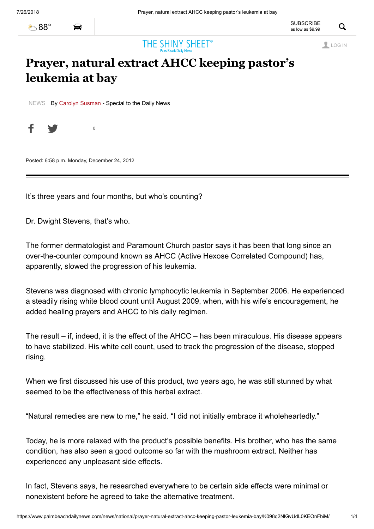[88°](https://www.palmbeachdailynews.com/weather/)



# THE SHINY SHEET<sup>®</sup>

LOG IN

## **Prayer, natural extract AHCC keeping pastor's leukemia at bay**

[NEWS](https://www.palmbeachdailynews.com/news) By [Carolyn Susman](https://www.palmbeachdailynews.com/staff/carolyn-susman/) - Special to the Daily News

f y  $\theta$ 

Posted: 6:58 p.m. Monday, December 24, 2012

It's three years and four months, but who's counting?

Dr. Dwight Stevens, that's who.

The former dermatologist and Paramount Church pastor says it has been that long since an over-the-counter compound known as AHCC (Active Hexose Correlated Compound) has, apparently, slowed the progression of his leukemia.

Stevens was diagnosed with chronic lymphocytic leukemia in September 2006. He experienced a steadily rising white blood count until August 2009, when, with his wife's encouragement, he added healing prayers and AHCC to his daily regimen.

The result – if, indeed, it is the effect of the AHCC – has been miraculous. His disease appears to have stabilized. His white cell count, used to track the progression of the disease, stopped rising.

When we first discussed his use of this product, two vears ago, he was still stunned by what seemed to be the effectiveness of this herbal extract.

"Natural remedies are new to me," he said. "I did not initially embrace it wholeheartedly."

Today, he is more relaxed with the product's possible benefits. His brother, who has the same condition, has also seen a good outcome so far with the mushroom extract. Neither has experienced any unpleasant side effects.

In fact, Stevens says, he researched everywhere to be certain side effects were minimal or nonexistent before he agreed to take the alternative treatment.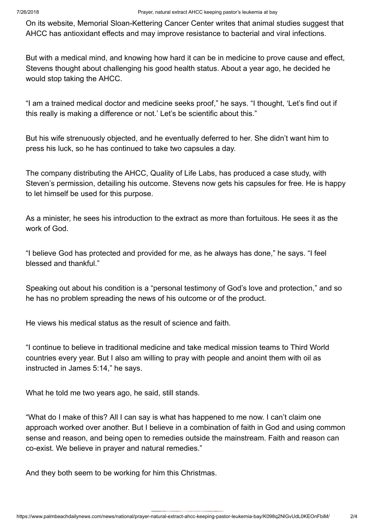On its website, Memorial Sloan-Kettering Cancer Center writes that animal studies suggest that AHCC has antioxidant effects and may improve resistance to bacterial and viral infections.

But with a medical mind, and knowing how hard it can be in medicine to prove cause and effect, Stevens thought about challenging his good health status. About a year ago, he decided he would stop taking the AHCC.

"I am a trained medical doctor and medicine seeks proof," he says. "I thought, 'Let's find out if this really is making a difference or not.' Let's be scientific about this."

But his wife strenuously objected, and he eventually deferred to her. She didn't want him to press his luck, so he has continued to take two capsules a day.

The company distributing the AHCC, Quality of Life Labs, has produced a case study, with Steven's permission, detailing his outcome. Stevens now gets his capsules for free. He is happy to let himself be used for this purpose.

As a minister, he sees his introduction to the extract as more than fortuitous. He sees it as the work of God.

"I believe God has protected and provided for me, as he always has done," he says. "I feel blessed and thankful."

Speaking out about his condition is a "personal testimony of God's love and protection," and so he has no problem spreading the news of his outcome or of the product.

He views his medical status as the result of science and faith.

"I continue to believe in traditional medicine and take medical mission teams to Third World countries every year. But I also am willing to pray with people and anoint them with oil as instructed in James 5:14," he says.

What he told me two years ago, he said, still stands.

"What do I make of this? All I can say is what has happened to me now. I can't claim one approach worked over another. But I believe in a combination of faith in God and using common sense and reason, and being open to remedies outside the mainstream. Faith and reason can co-exist. We believe in prayer and natural remedies."

And they both seem to be working for him this Christmas.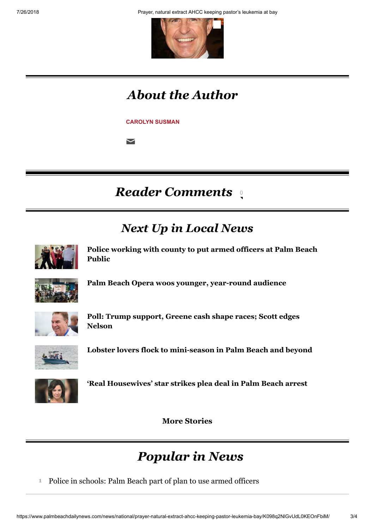7/26/2018 Prayer, natural extract AHCC keeping pastor's leukemia at bay



## *About the Author*

**[CAROLYN SUSMAN](https://www.palmbeachdailynews.com/staff/carolyn-susman/)** 

 $\blacktriangleright$ 

### **Reader Comments** ्

## *Next Up in Local News*

<span id="page-2-0"></span>

**[Police working with county to put armed officers at Palm Beach](https://www.palmbeachdailynews.com/news/local/police-working-with-county-put-armed-officers-palm-beach-public/BXQMTi9fwSb2U3cPhZmhaP/) Public**



**[Palm Beach Opera woos younger, year-round audience](https://www.palmbeachdailynews.com/news/local/palm-beach-opera-woos-younger-year-round-audience/IXmzGmZTO8FiYxe6bqMctJ/)**



**[Poll: Trump support, Greene cash shape races; Scott edges](https://www.palmbeachdailynews.com/news/state--regional-govt--politics/poll-trump-support-greene-cash-shape-races-scott-edges-nelson/lZAYXcIQUr0z7bhn8c5eWJ/) Nelson**



**[Lobster lovers flock to mini-season in Palm Beach and beyond](https://www.palmbeachdailynews.com/news/local/lobster-lovers-flock-mini-season-palm-beach-and-beyond/GEQHCH8IBQsqbFgRD15viN/)**



**['Real Housewives' star strikes plea deal in Palm Beach arrest](https://www.palmbeachdailynews.com/news/crime--law/real-housewives-star-strikes-plea-deal-palm-beach-arrest/KjofTwywWsXq00Q0vexDLJ/)**

**More Stories**

## *Popular in News*

**1** [Police in schools: Palm Beach part of plan to use armed officers](https://palmbeachdailynews.com/news/local/police-working-with-county-put-armed-officers-palm-beach-public/BXQMTi9fwSb2U3cPhZmhaP/?ref=cbTopWidget)